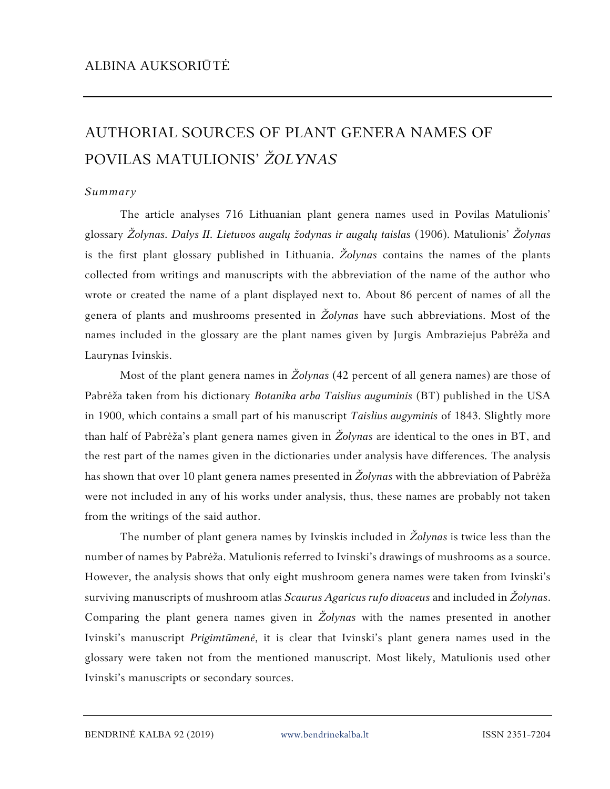## AUTHORIAL SOURCES OF PLANT GENERA NAMES OF POVILAS MATULIONIS' *ŽOLYNAS*

## *Summary*

The article analyses 716 Lithuanian plant genera names used in Povilas Matulionis' glossary *Žolynas. Dalys II. Lietuvos augalų žodynas ir augalų taislas* (1906). Matulionis' *Žolynas* is the first plant glossary published in Lithuania. *Žolynas* contains the names of the plants collected from writings and manuscripts with the abbreviation of the name of the author who wrote or created the name of a plant displayed next to. About 86 percent of names of all the genera of plants and mushrooms presented in *Žolynas* have such abbreviations. Most of the names included in the glossary are the plant names given by Jurgis Ambraziejus Pabrėža and Laurynas Ivinskis.

Most of the plant genera names in *Žolynas* (42 percent of all genera names) are those of Pabrėža taken from his dictionary *Botanika arba Taislius auguminis* (BT) published in the USA in 1900, which contains a small part of his manuscript *Taislius augyminis* of 1843. Slightly more than half of Pabrėža's plant genera names given in *Žolynas* are identical to the ones in BT, and the rest part of the names given in the dictionaries under analysis have differences. The analysis has shown that over 10 plant genera names presented in *Žolynas* with the abbreviation of Pabrėža were not included in any of his works under analysis, thus, these names are probably not taken from the writings of the said author.

The number of plant genera names by Ivinskis included in *Žolynas* is twice less than the number of names by Pabrėža. Matulionis referred to Ivinski's drawings of mushrooms as a source. However, the analysis shows that only eight mushroom genera names were taken from Ivinski's surviving manuscripts of mushroom atlas *Scaurus Agaricus rufo divaceus* and included in *Žolynas*. Comparing the plant genera names given in *Žolynas* with the names presented in another Ivinski's manuscript *Prigimtūmenė*, it is clear that Ivinski's plant genera names used in the glossary were taken not from the mentioned manuscript. Most likely, Matulionis used other Ivinski's manuscripts or secondary sources.